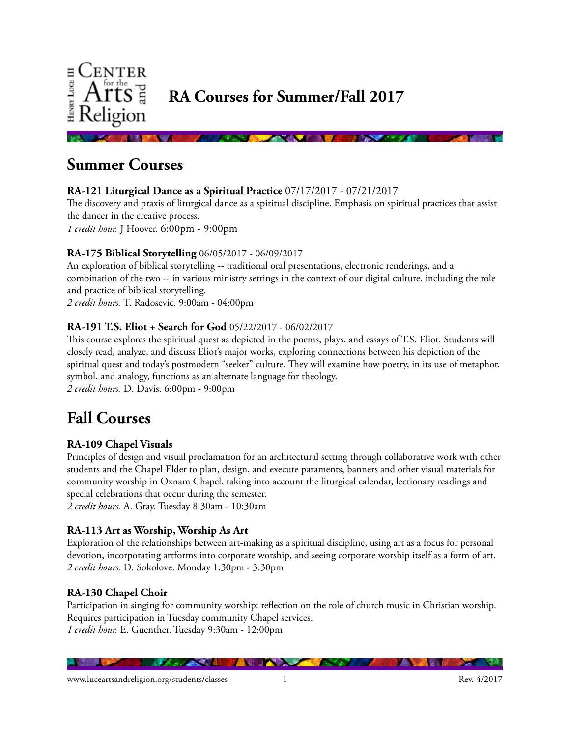

**Summer Courses** 

# **RA-121 Liturgical Dance as a Spiritual Practice** 07/17/2017 - 07/21/2017

The discovery and praxis of liturgical dance as a spiritual discipline. Emphasis on spiritual practices that assist the dancer in the creative process.

*1 credit hour.* J Hoover. 6:00pm - 9:00pm

# **RA-175 Biblical Storytelling** 06/05/2017 - 06/09/2017

An exploration of biblical storytelling -- traditional oral presentations, electronic renderings, and a combination of the two -- in various ministry settings in the context of our digital culture, including the role and practice of biblical storytelling.

*2 credit hours.* T. Radosevic. 9:00am - 04:00pm

### **RA-191 T.S. Eliot + Search for God** 05/22/2017 - 06/02/2017

This course explores the spiritual quest as depicted in the poems, plays, and essays of T.S. Eliot. Students will closely read, analyze, and discuss Eliot's major works, exploring connections between his depiction of the spiritual quest and today's postmodern "seeker" culture. They will examine how poetry, in its use of metaphor, symbol, and analogy, functions as an alternate language for theology. *2 credit hours.* D. Davis. 6:00pm - 9:00pm

# **Fall Courses**

# **RA-109 Chapel Visuals**

Principles of design and visual proclamation for an architectural setting through collaborative work with other students and the Chapel Elder to plan, design, and execute paraments, banners and other visual materials for community worship in Oxnam Chapel, taking into account the liturgical calendar, lectionary readings and special celebrations that occur during the semester. *2 credit hours.* A. Gray. Tuesday 8:30am - 10:30am

# **RA-113 Art as Worship, Worship As Art**

Exploration of the relationships between art-making as a spiritual discipline, using art as a focus for personal devotion, incorporating artforms into corporate worship, and seeing corporate worship itself as a form of art. *2 credit hours.* D. Sokolove. Monday 1:30pm - 3:30pm

# **RA-130 Chapel Choir**

Participation in singing for community worship: reflection on the role of church music in Christian worship. Requires participation in Tuesday community Chapel services. *1 credit hour.* E. Guenther. Tuesday 9:30am - 12:00pm

<u> Alexandru</u>

**CONTRACTOR** 

**ALL** 

**TANK**